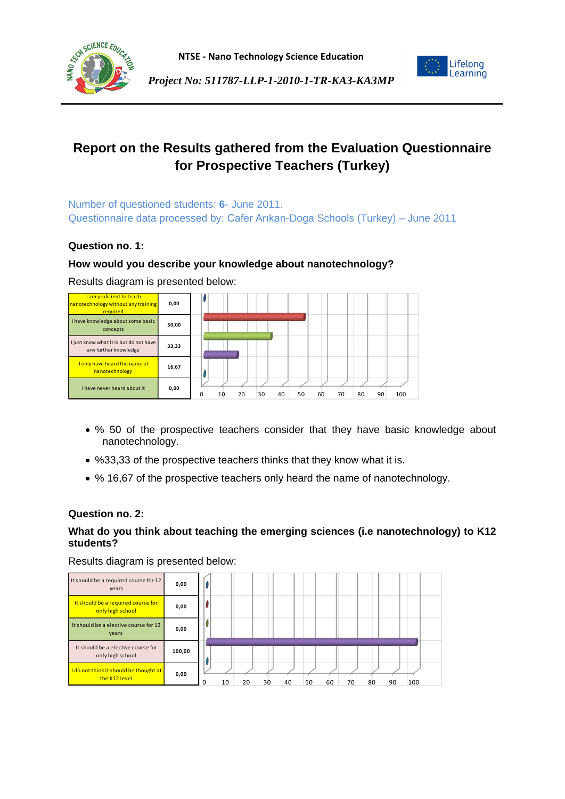

**NTSE - Nano Technology Science Education**



*Project No: 511787-LLP-1-2010-1-TR-KA3-KA3MP*

# **Report on the Results gathered from the Evaluation Questionnaire for Prospective Teachers (Turkey)**

Number of questioned students: **6**- June 2011.

Questionnaire data processed by: Cafer Arıkan-Doga Schools (Turkey) – June 2011

# **Question no. 1:**

# **How would you describe your knowledge about nanotechnology?**

Results diagram is presented below:



- % 50 of the prospective teachers consider that they have basic knowledge about nanotechnology.
- %33,33 of the prospective teachers thinks that they know what it is.
- % 16,67 of the prospective teachers only heard the name of nanotechnology.

## **Question no. 2:**

## **What do you think about teaching the emerging sciences (i.e nanotechnology) to K12 students?**

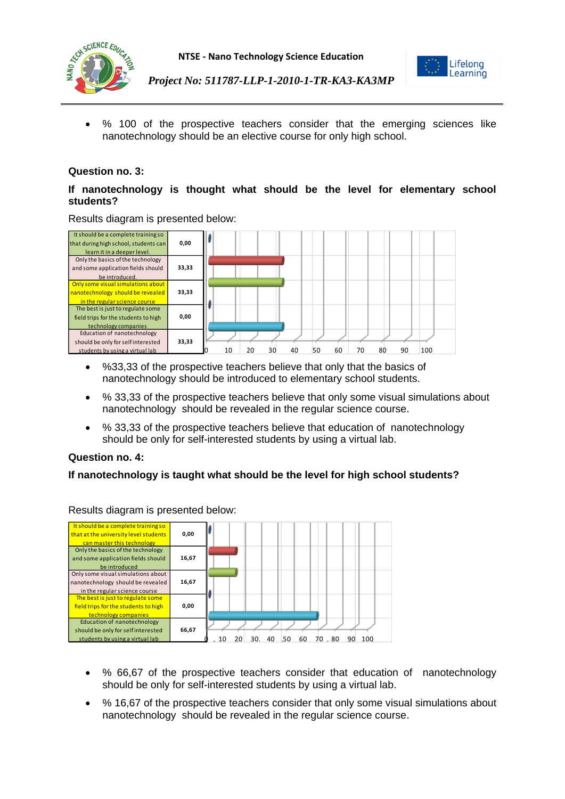



 % 100 of the prospective teachers consider that the emerging sciences like nanotechnology should be an elective course for only high school.

#### **Question no. 3:**

#### **If nanotechnology is thought what should be the level for elementary school students?**

Results diagram is presented below:



- %33,33 of the prospective teachers believe that only that the basics of nanotechnology should be introduced to elementary school students.
- % 33,33 of the prospective teachers believe that only some visual simulations about nanotechnology should be revealed in the regular science course.
- % 33,33 of the prospective teachers believe that education of nanotechnology should be only for self-interested students by using a virtual lab.

#### **Question no. 4:**

#### **If nanotechnology is taught what should be the level for high school students?**



- % 66,67 of the prospective teachers consider that education of nanotechnology should be only for self-interested students by using a virtual lab.
- % 16,67 of the prospective teachers consider that only some visual simulations about nanotechnology should be revealed in the regular science course.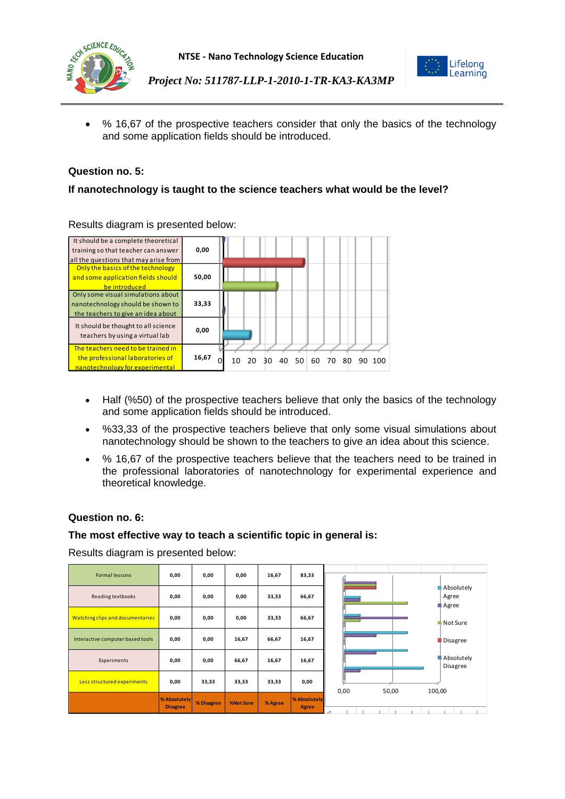



 % 16,67 of the prospective teachers consider that only the basics of the technology and some application fields should be introduced.

## **Question no. 5:**

## **If nanotechnology is taught to the science teachers what would be the level?**



Results diagram is presented below:

- Half (%50) of the prospective teachers believe that only the basics of the technology and some application fields should be introduced.
- %33,33 of the prospective teachers believe that only some visual simulations about nanotechnology should be shown to the teachers to give an idea about this science.
- % 16,67 of the prospective teachers believe that the teachers need to be trained in the professional laboratories of nanotechnology for experimental experience and theoretical knowledge.

#### **Question no. 6:**

#### **The most effective way to teach a scientific topic in general is:**

| <b>Formal lessons</b>            | 0,00                            | 0,00       | 0,00      | 16,67   | 83,33                 |                              |
|----------------------------------|---------------------------------|------------|-----------|---------|-----------------------|------------------------------|
| Reading textbooks                | 0,00                            | 0,00       | 0,00      | 33,33   | 66,67                 | Absolutely<br>Agree<br>Agree |
| Watching clips and documentaries | 0,00                            | 0,00       | 0,00      | 33,33   | 66,67                 | Not Sure                     |
| Interactive computer based tools | 0,00                            | 0,00       | 16,67     | 66,67   | 16,67                 | Disagree                     |
| Experiments                      | 0,00                            | 0,00       | 66,67     | 16,67   | 16,67                 | Absolutely<br>Disagree       |
| Less structured experiments      | 0,00                            | 33,33      | 33,33     | 33,33   | 0,00                  | 0,00<br>50,00<br>100,00      |
|                                  | % Absolutely<br><b>Disagree</b> | % Disagree | %Not Sure | % Agree | % Absolutely<br>Agree |                              |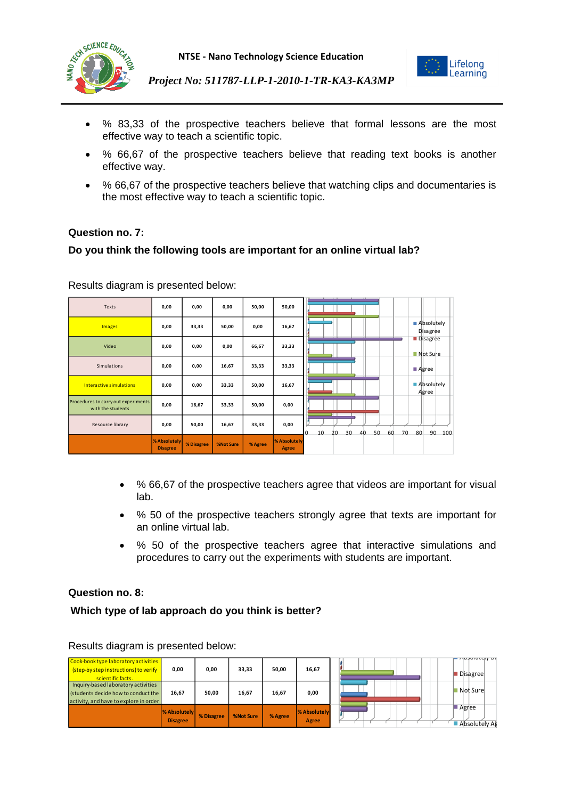



- % 83,33 of the prospective teachers believe that formal lessons are the most effective way to teach a scientific topic.
- % 66,67 of the prospective teachers believe that reading text books is another effective way.
- % 66,67 of the prospective teachers believe that watching clips and documentaries is the most effective way to teach a scientific topic.

#### **Question no. 7:**

#### **Do you think the following tools are important for an online virtual lab?**

| Texts                                                    | 0,00                            | 0,00       | 0,00             | 50,00   | 50,00                 |                                                                       |
|----------------------------------------------------------|---------------------------------|------------|------------------|---------|-----------------------|-----------------------------------------------------------------------|
| Images                                                   | 0,00                            | 33,33      | 50,00            | 0,00    | 16,67                 | Absolutely<br>Disagrée                                                |
| Video                                                    | 0,00                            | 0,00       | 0,00             | 66,67   | 33,33                 | Disagree<br>Not Sure                                                  |
| <b>Simulations</b>                                       | 0,00                            | 0,00       | 16,67            | 33,33   | 33,33                 | Agree                                                                 |
| Interactive simulations                                  | 0,00                            | 0,00       | 33,33            | 50,00   | 16,67                 | Absolutely<br>Agree                                                   |
| Procedures to carry out experiments<br>with the students | 0,00                            | 16,67      | 33,33            | 50,00   | 0,00                  | ш                                                                     |
| Resource library                                         | 0,00                            | 50,00      | 16,67            | 33,33   | 0,00                  | 70<br>80<br>$\Omega$<br>30<br>50<br>60<br>90<br>10<br>20<br>100<br>40 |
|                                                          | % Absolutely<br><b>Disagree</b> | % Disagree | <b>%Not Sure</b> | % Agree | % Absolutely<br>Agree |                                                                       |

Results diagram is presented below:

- % 66,67 of the prospective teachers agree that videos are important for visual lab.
- % 50 of the prospective teachers strongly agree that texts are important for an online virtual lab.
- % 50 of the prospective teachers agree that interactive simulations and procedures to carry out the experiments with students are important.

#### **Question no. 8:**

**Which type of lab approach do you think is better?**

| Cook-book type laboratory activities<br>(step-by step instructions) to verify<br>scientific facts.                   | 0,00                                   | 0,00       | 33,33            | 50,00   | 16,67                        | $=$ AUJURULER $=$<br>Disagree         |
|----------------------------------------------------------------------------------------------------------------------|----------------------------------------|------------|------------------|---------|------------------------------|---------------------------------------|
| Inquiry-based laboratory activities<br>(students decide how to conduct the<br>activity, and have to explore in order | 16,67                                  | 50,00      | 16,67            | 16,67   | 0,00                         | I Not Surel                           |
|                                                                                                                      | <b>% Absolutely</b><br><b>Disagree</b> | % Disagree | <b>%Not Sure</b> | % Agree | <b>X</b> Absolutely<br>Agree | $\blacksquare$ Agree<br>Absolutely As |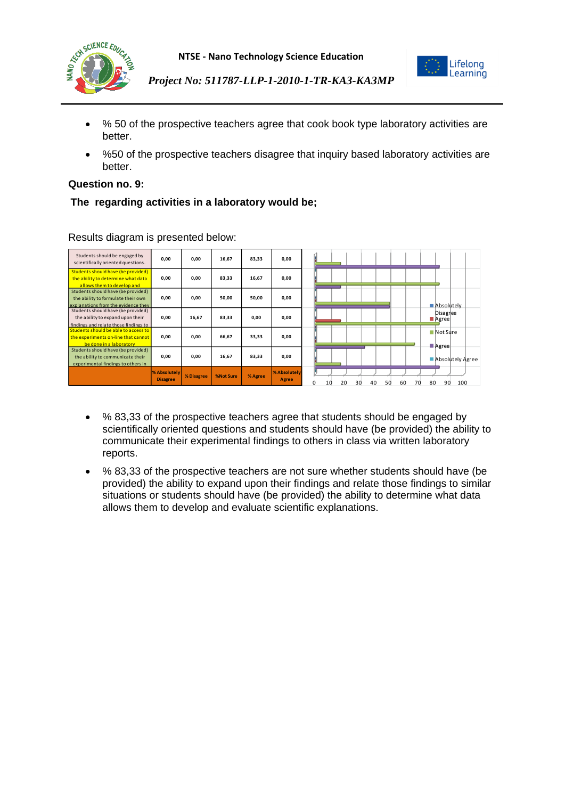



- % 50 of the prospective teachers agree that cook book type laboratory activities are better.
- %50 of the prospective teachers disagree that inquiry based laboratory activities are better.

#### **Question no. 9:**

## **The regarding activities in a laboratory would be;**

| Students should be engaged by<br>scientifically oriented questions.                                             | 0,00                            | 0.00       | 16,67            | 83,33   | 0,00                  |                                                                |
|-----------------------------------------------------------------------------------------------------------------|---------------------------------|------------|------------------|---------|-----------------------|----------------------------------------------------------------|
| Students should have (be provided)<br>the ability to determine what data<br>allows them to develop and          | 0,00                            | 0,00       | 83,33            | 16,67   | 0,00                  |                                                                |
| Students should have (be provided)<br>the ability to formulate their own<br>explanations from the evidence they | 0,00                            | 0,00       | 50,00            | 50,00   | 0,00                  | Absolutely                                                     |
| Students should have (be provided)<br>the ability to expand upon their<br>findings and relate those findings to | 0,00                            | 16,67      | 83,33            | 0,00    | 0,00                  | Disagree<br>Agree                                              |
| Students should be able to access to<br>the experiments on-line that cannot<br>be done in a laboratory          | 0,00                            | 0,00       | 66,67            | 33,33   | 0,00                  | Not Sure<br>Agree                                              |
| Students should have (be provided)<br>the ability to communicate their<br>experimental findings to others in    | 0,00                            | 0,00       | 16,67            | 83,33   | 0,00                  | Absolutely Agree                                               |
|                                                                                                                 | % Absolutely<br><b>Disagree</b> | % Disagree | <b>%Not Sure</b> | % Agree | % Absolutely<br>Agree | 70<br>90<br>100<br>30<br>50<br>60<br>80<br>0<br>20<br>40<br>10 |

- % 83,33 of the prospective teachers agree that students should be engaged by scientifically oriented questions and students should have (be provided) the ability to communicate their experimental findings to others in class via written laboratory reports.
- % 83,33 of the prospective teachers are not sure whether students should have (be provided) the ability to expand upon their findings and relate those findings to similar situations or students should have (be provided) the ability to determine what data allows them to develop and evaluate scientific explanations.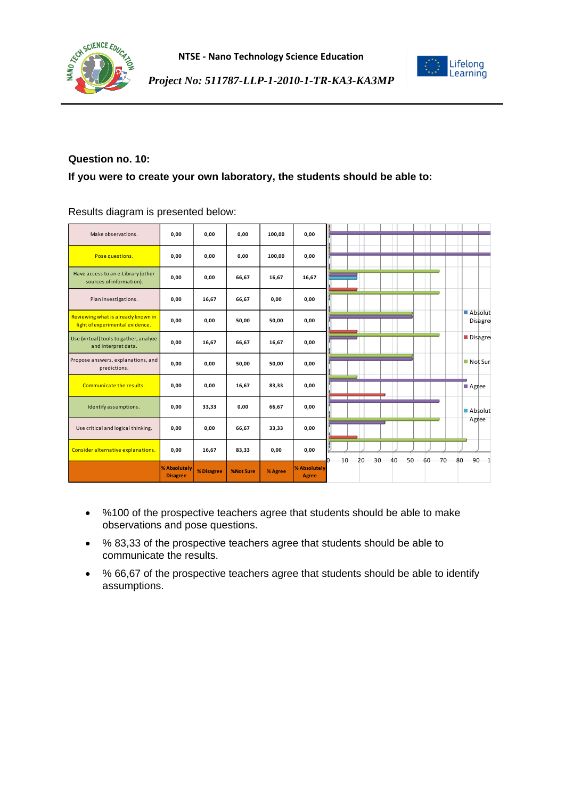



## **Question no. 10:**

## **If you were to create your own laboratory, the students should be able to:**

| Make observations.                                                    | 0,00                            | 0,00       | 0,00             | 100,00  | 0,00                  |
|-----------------------------------------------------------------------|---------------------------------|------------|------------------|---------|-----------------------|
| Pose questions.                                                       | 0,00                            | 0,00       | 0,00             | 100,00  | 0,00                  |
| Have access to an e-Library (other<br>sources of information).        | 0,00                            | 0,00       | 66,67            | 16,67   | 16,67                 |
| Plan investigations.                                                  | 0,00                            | 16,67      | 66,67            | 0,00    | 0,00                  |
| Reviewing what is already known in<br>light of experimental evidence. | 0,00                            | 0,00       | 50,00            | 50,00   | 0,00                  |
| Use (virtual) tools to gather, analyze<br>and interpret data.         | 0,00                            | 16,67      | 66,67            | 16,67   | 0,00                  |
| Propose answers, explanations, and<br>predictions.                    | 0,00                            | 0,00       | 50,00            | 50,00   | 0,00                  |
| Communicate the results.                                              | 0,00                            | 0,00       | 16,67            | 83,33   | 0,00                  |
| Identify assumptions.                                                 | 0,00                            | 33,33      | 0,00             | 66,67   | 0,00                  |
| Use critical and logical thinking.                                    | 0.00                            | 0,00       | 66,67            | 33,33   | 0.00                  |
| Consider alternative explanations.                                    | 0,00                            | 16,67      | 83,33            | 0,00    | 0,00                  |
|                                                                       | % Absolutely<br><b>Disagree</b> | % Disagree | <b>%Not Sure</b> | % Agree | % Absolutely<br>Agree |

- %100 of the prospective teachers agree that students should be able to make observations and pose questions.
- % 83,33 of the prospective teachers agree that students should be able to communicate the results.
- % 66,67 of the prospective teachers agree that students should be able to identify assumptions.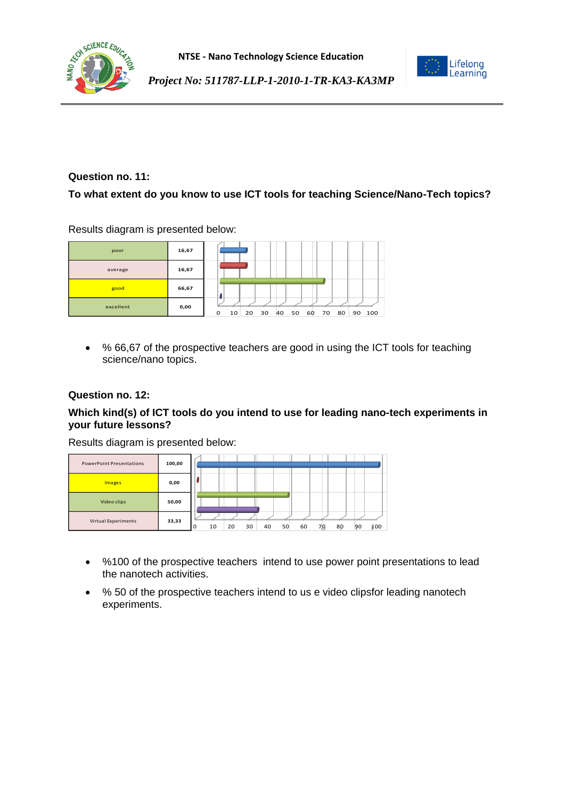



## **Question no. 11:**

**To what extent do you know to use ICT tools for teaching Science/Nano-Tech topics?** 

Results diagram is presented below:

| poor      | 16,67 |                                                                |
|-----------|-------|----------------------------------------------------------------|
| average   | 16,67 |                                                                |
| good      | 66,67 |                                                                |
| excellent | 0,00  | 30<br>80<br>100<br>0<br>50<br>60<br>70<br>20<br>40<br>90<br>10 |

 % 66,67 of the prospective teachers are good in using the ICT tools for teaching science/nano topics.

## **Question no. 12:**

#### **Which kind(s) of ICT tools do you intend to use for leading nano-tech experiments in your future lessons?**

| <b>PowerPoint Presentations</b> | 100,00 |                                                                          |
|---------------------------------|--------|--------------------------------------------------------------------------|
| <b>Images</b>                   | 0,00   |                                                                          |
| Video clips                     | 50,00  |                                                                          |
| Virtual Experiments             | 33,33  | $\mathbf 0$<br>100<br>30<br>60<br>20<br>40<br>50<br>10<br>80<br>90<br>70 |

- %100 of the prospective teachers intend to use power point presentations to lead the nanotech activities.
- % 50 of the prospective teachers intend to us e video clipsfor leading nanotech experiments.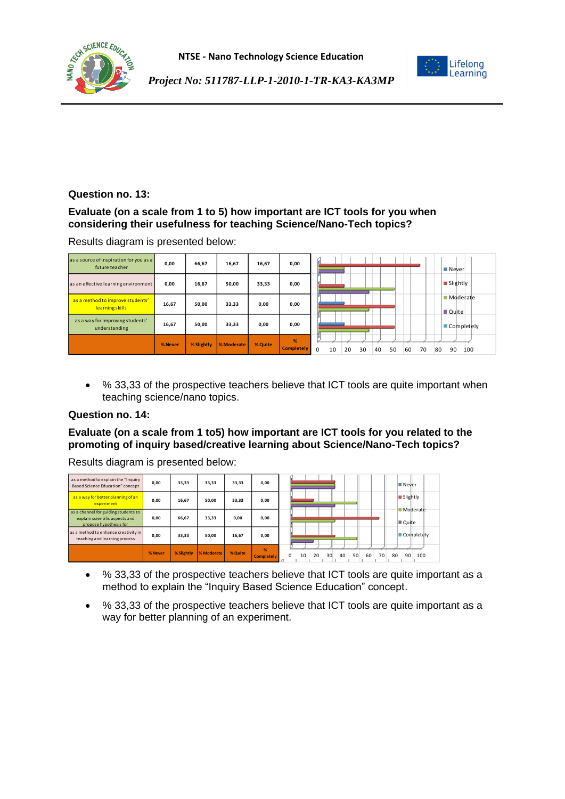



## **Question no. 13:**

## **Evaluate (on a scale from 1 to 5) how important are ICT tools for you when considering their usefulness for teaching Science/Nano-Tech topics?**

Results diagram is presented below:

| as a source of inspiration for you as a<br>future teacher | 0,00    | 66,67      | 16,67             | 16,67   | 0,00                   | $\blacksquare$ Never                                                  |
|-----------------------------------------------------------|---------|------------|-------------------|---------|------------------------|-----------------------------------------------------------------------|
| as an effective learning environment                      | 0,00    | 16,67      | 50,00             | 33,33   | 0,00                   | Slightly                                                              |
| as a method to improve students'<br>learning skills       | 16,67   | 50,00      | 33,33             | 0,00    | 0,00                   | Moderate<br>Quite                                                     |
| as a way for improving students'<br>understanding         | 16,67   | 50,00      | 33,33             | 0,00    | 0,00                   | Completely                                                            |
|                                                           | % Never | % Slightly | <b>% Moderate</b> | % Quite | %<br><b>Completely</b> | $\Omega$<br>30<br>50<br>70<br>90<br>20<br>40<br>60<br>80<br>100<br>10 |

 % 33,33 of the prospective teachers believe that ICT tools are quite important when teaching science/nano topics.

#### **Question no. 14:**

## **Evaluate (on a scale from 1 to5) how important are ICT tools for you related to the promoting of inquiry based/creative learning about Science/Nano-Tech topics?**

| as a method to explain the "Inquiry<br>Based Science Education" concept                          | 0.00    | 33,33      | 33,33      | 33.33   | 0,00                   | Never                                                     |
|--------------------------------------------------------------------------------------------------|---------|------------|------------|---------|------------------------|-----------------------------------------------------------|
| as a way for better planning of an<br>experiment                                                 | 0,00    | 16,67      | 50,00      | 33.33   | 0,00                   | Slightly                                                  |
| as a channel for guiding students to<br>explain scientific aspects and<br>propose hypothesis for | 0,00    | 66,67      | 33,33      | 0,00    | 0,00                   | <b>Moderate</b><br><b>Quite</b>                           |
| as a method to enhance creativity in<br>teaching and learning process                            | 0,00    | 33,33      | 50,00      | 16,67   | 0,00                   | $\Box$ Completely                                         |
|                                                                                                  | % Never | % Slightly | % Moderate | % Quite | %<br><b>Completely</b> | 30<br>50<br>20<br>70<br>40<br>60<br>80<br>90<br>100<br>10 |

- % 33,33 of the prospective teachers believe that ICT tools are quite important as a method to explain the "Inquiry Based Science Education" concept.
- % 33,33 of the prospective teachers believe that ICT tools are quite important as a way for better planning of an experiment.